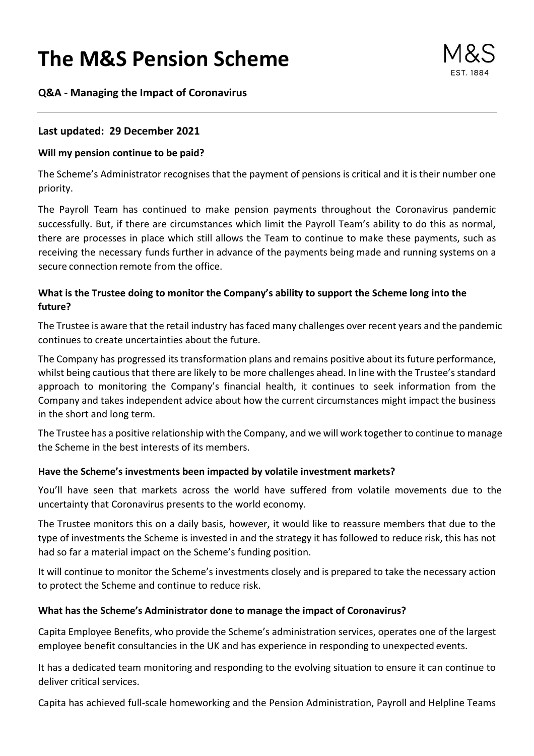# **The M&S Pension Scheme**

# **Q&A - Managing the Impact of Coronavirus**

## **Last updated: 29 December 2021**

#### **Will my pension continue to be paid?**

The Scheme's Administrator recognises that the payment of pensions is critical and it is their number one priority.

The Payroll Team has continued to make pension payments throughout the Coronavirus pandemic successfully. But, if there are circumstances which limit the Payroll Team's ability to do this as normal, there are processes in place which still allows the Team to continue to make these payments, such as receiving the necessary funds further in advance of the payments being made and running systems on a secure connection remote from the office.

## **What is the Trustee doing to monitor the Company's ability to support the Scheme long into the future?**

The Trustee is aware that the retail industry has faced many challenges over recent years and the pandemic continues to create uncertainties about the future.

The Company has progressed its transformation plans and remains positive about its future performance, whilst being cautious that there are likely to be more challenges ahead. In line with the Trustee's standard approach to monitoring the Company's financial health, it continues to seek information from the Company and takes independent advice about how the current circumstances might impact the business in the short and long term.

The Trustee has a positive relationship with the Company, and we will work together to continue to manage the Scheme in the best interests of its members.

## **Have the Scheme's investments been impacted by volatile investment markets?**

You'll have seen that markets across the world have suffered from volatile movements due to the uncertainty that Coronavirus presents to the world economy.

The Trustee monitors this on a daily basis, however, it would like to reassure members that due to the type of investments the Scheme is invested in and the strategy it has followed to reduce risk, this has not had so far a material impact on the Scheme's funding position.

It will continue to monitor the Scheme's investments closely and is prepared to take the necessary action to protect the Scheme and continue to reduce risk.

## **What has the Scheme's Administrator done to manage the impact of Coronavirus?**

Capita Employee Benefits, who provide the Scheme's administration services, operates one of the largest employee benefit consultancies in the UK and has experience in responding to unexpected events.

It has a dedicated team monitoring and responding to the evolving situation to ensure it can continue to deliver critical services.

Capita has achieved full-scale homeworking and the Pension Administration, Payroll and Helpline Teams